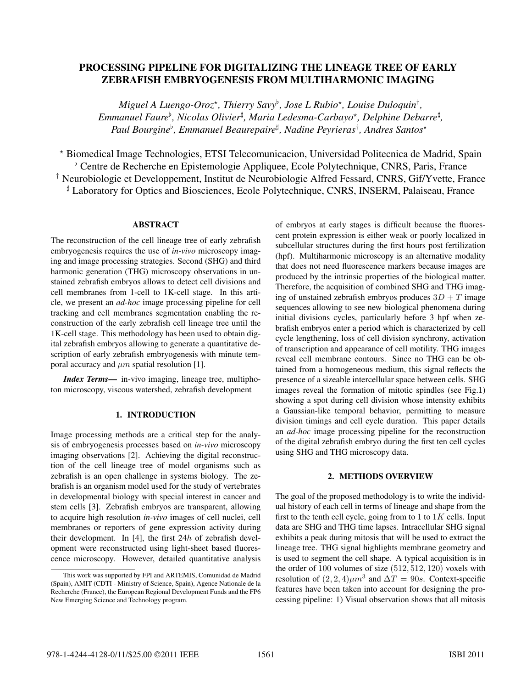# PROCESSING PIPELINE FOR DIGITALIZING THE LINEAGE TREE OF EARLY<br>ZEBRAFISH EMBRYOGENESIS FROM MULTIHARMONIC IMAGING ZEBRAFISH EMBRYOGENESIS FROM MULTIHARMONIC IMAGING

*Miguel A Luengo-Oroz*-*, Thierry Savy , Jose L Rubio*-*, Louise Duloquin*† *, Emmanuel Faure , Nicolas Olivier , Maria Ledesma-Carbayo*-*, Delphine Debarre , Paul Bourgine , Emmanuel Beaurepaire , Nadine Peyrieras*† *, Andres Santos*-

- Biomedical Image Technologies, ETSI Telecomunicacion, Universidad Politecnica de Madrid, Spain Centre de Recherche en Epistemologie Appliquee, Ecole Polytechnique, CNRS, Paris, France † Neurobiologie et Developpement, Institut de Neurobiologie Alfred Fessard, CNRS, Gif/Yvette, France Laboratory for Optics and Biosciences, Ecole Polytechnique, CNRS, INSERM, Palaiseau, France

## ABSTRACT

The reconstruction of the cell lineage tree of early zebrafish embryogenesis requires the use of *in-vivo* microscopy imaging and image processing strategies. Second (SHG) and third harmonic generation (THG) microscopy observations in unstained zebrafish embryos allows to detect cell divisions and cell membranes from 1-cell to 1K-cell stage. In this article, we present an *ad-hoc* image processing pipeline for cell tracking and cell membranes segmentation enabling the reconstruction of the early zebrafish cell lineage tree until the 1K-cell stage. This methodology has been used to obtain digital zebrafish embryos allowing to generate a quantitative description of early zebrafish embryogenesis with minute temporal accuracy and  $\mu$ m spatial resolution [1].

*Index Terms*— in-vivo imaging, lineage tree, multiphoton microscopy, viscous watershed, zebrafish development

#### 1. INTRODUCTION 1. INTRODUCTION

Image processing methods are a critical step for the analysis of embryogenesis processes based on *in-vivo* microscopy imaging observations [2]. Achieving the digital reconstruction of the cell lineage tree of model organisms such as zebrafish is an open challenge in systems biology. The zebrafish is an organism model used for the study of vertebrates in developmental biology with special interest in cancer and stem cells [3]. Zebrafish embryos are transparent, allowing to acquire high resolution *in-vivo* images of cell nuclei, cell membranes or reporters of gene expression activity during their development. In [4], the first  $24h$  of zebrafish development were reconstructed using light-sheet based fluorescence microscopy. However, detailed quantitative analysis

of embryos at early stages is difficult because the fluorescent protein expression is either weak or poorly localized in subcellular structures during the first hours post fertilization (hpf). Multiharmonic microscopy is an alternative modality that does not need fluorescence markers because images are produced by the intrinsic properties of the biological matter. Therefore, the acquisition of combined SHG and THG imaging of unstained zebrafish embryos produces  $3D + T$  image sequences allowing to see new biological phenomena during initial divisions cycles, particularly before 3 hpf when zebrafish embryos enter a period which is characterized by cell cycle lengthening, loss of cell division synchrony, activation of transcription and appearance of cell motility. THG images reveal cell membrane contours. Since no THG can be obtained from a homogeneous medium, this signal reflects the presence of a sizeable intercellular space between cells. SHG images reveal the formation of mitotic spindles (see Fig.1) showing a spot during cell division whose intensity exhibits a Gaussian-like temporal behavior, permitting to measure division timings and cell cycle duration. This paper details an *ad-hoc* image processing pipeline for the reconstruction of the digital zebrafish embryo during the first ten cell cycles using SHG and THG microscopy data.

# 2. METHODS OVERVIEW

The goal of the proposed methodology is to write the individual history of each cell in terms of lineage and shape from the first to the tenth cell cycle, going from to  $1$  to  $1K$  cells. Input data are SHG and THG time lapses. Intracellular SHG signal exhibits a peak during mitosis that will be used to extract the lineage tree. THG signal highlights membrane geometry and is used to segment the cell shape. A typical acquisition is in the order of 100 volumes of size (512, 512, 120) voxels with resolution of  $(2, 2, 4)\mu m^3$  and  $\Delta T = 90s$ . Context-specific features have been taken into account for designing the processing pipeline: 1) Visual observation shows that all mitosis

This work was supported by FPI and ARTEMIS, Comunidad de Madrid (Spain), AMIT (CDTI - Ministry of Science, Spain), Agence Nationale de la Recherche (France), the European Regional Development Funds and the FP6 New Emerging Science and Technology program.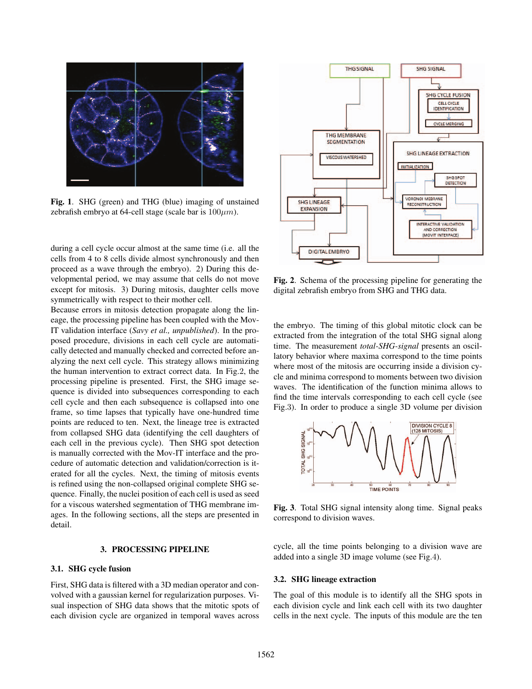

Fig. 1. SHG (green) and THG (blue) imaging of unstained zebrafish embryo at 64-cell stage (scale bar is  $100 \mu m$ ).

during a cell cycle occur almost at the same time (i.e. all the cells from 4 to 8 cells divide almost synchronously and then proceed as a wave through the embryo). 2) During this developmental period, we may assume that cells do not move except for mitosis. 3) During mitosis, daughter cells move symmetrically with respect to their mother cell.

Because errors in mitosis detection propagate along the lineage, the processing pipeline has been coupled with the Mov-IT validation interface (*Savy et al., unpublished*). In the proposed procedure, divisions in each cell cycle are automatically detected and manually checked and corrected before analyzing the next cell cycle. This strategy allows minimizing the human intervention to extract correct data. In Fig.2, the processing pipeline is presented. First, the SHG image sequence is divided into subsequences corresponding to each cell cycle and then each subsequence is collapsed into one frame, so time lapses that typically have one-hundred time points are reduced to ten. Next, the lineage tree is extracted from collapsed SHG data (identifying the cell daughters of each cell in the previous cycle). Then SHG spot detection is manually corrected with the Mov-IT interface and the procedure of automatic detection and validation/correction is iterated for all the cycles. Next, the timing of mitosis events is refined using the non-collapsed original complete SHG sequence. Finally, the nuclei position of each cell is used as seed for a viscous watershed segmentation of THG membrane images. In the following sections, all the steps are presented in detail.

#### 3. PROCESSING PIPELINE 3. PROCEssing Pipeline

### 3.1. SHG cycle fusion

First, SHG data is filtered with a 3D median operator and convolved with a gaussian kernel for regularization purposes. Visual inspection of SHG data shows that the mitotic spots of each division cycle are organized in temporal waves across



Fig. 2. Schema of the processing pipeline for generating the digital zebrafish embryo from SHG and THG data.

the embryo. The timing of this global mitotic clock can be extracted from the integration of the total SHG signal along time. The measurement *total-SHG-signal* presents an oscillatory behavior where maxima correspond to the time points where most of the mitosis are occurring inside a division cycle and minima correspond to moments between two division waves. The identification of the function minima allows to find the time intervals corresponding to each cell cycle (see Fig.3). In order to produce a single 3D volume per division



Fig. 3. Total SHG signal intensity along time. Signal peaks correspond to division waves.

cycle, all the time points belonging to a division wave are added into a single 3D image volume (see Fig.4).

### 3.2. SHG lineage extraction

The goal of this module is to identify all the SHG spots in each division cycle and link each cell with its two daughter cells in the next cycle. The inputs of this module are the ten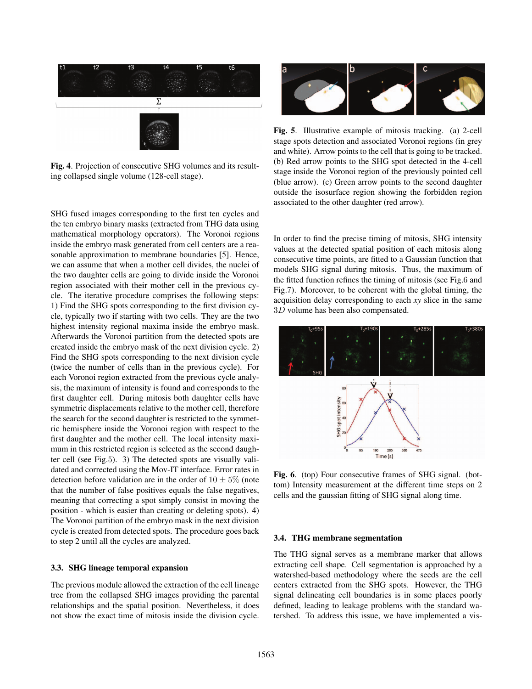

Fig. 4. Projection of consecutive SHG volumes and its resulting collapsed single volume (128-cell stage).

SHG fused images corresponding to the first ten cycles and the ten embryo binary masks (extracted from THG data using mathematical morphology operators). The Voronoi regions inside the embryo mask generated from cell centers are a reasonable approximation to membrane boundaries [5]. Hence, we can assume that when a mother cell divides, the nuclei of the two daughter cells are going to divide inside the Voronoi region associated with their mother cell in the previous cycle. The iterative procedure comprises the following steps: 1) Find the SHG spots corresponding to the first division cycle, typically two if starting with two cells. They are the two highest intensity regional maxima inside the embryo mask. Afterwards the Voronoi partition from the detected spots are created inside the embryo mask of the next division cycle. 2) Find the SHG spots corresponding to the next division cycle (twice the number of cells than in the previous cycle). For each Voronoi region extracted from the previous cycle analysis, the maximum of intensity is found and corresponds to the first daughter cell. During mitosis both daughter cells have symmetric displacements relative to the mother cell, therefore the search for the second daughter is restricted to the symmetric hemisphere inside the Voronoi region with respect to the first daughter and the mother cell. The local intensity maximum in this restricted region is selected as the second daughter cell (see Fig.5). 3) The detected spots are visually validated and corrected using the Mov-IT interface. Error rates in detection before validation are in the order of  $10 \pm 5\%$  (note that the number of false positives equals the false negatives, meaning that correcting a spot simply consist in moving the position - which is easier than creating or deleting spots). 4) The Voronoi partition of the embryo mask in the next division cycle is created from detected spots. The procedure goes back to step 2 until all the cycles are analyzed.

# 3.3. SHG lineage temporal expansion

The previous module allowed the extraction of the cell lineage tree from the collapsed SHG images providing the parental relationships and the spatial position. Nevertheless, it does not show the exact time of mitosis inside the division cycle.



Fig. 5. Illustrative example of mitosis tracking. (a) 2-cell stage spots detection and associated Voronoi regions (in grey and white). Arrow points to the cell that is going to be tracked. (b) Red arrow points to the SHG spot detected in the 4-cell stage inside the Voronoi region of the previously pointed cell (blue arrow). (c) Green arrow points to the second daughter outside the isosurface region showing the forbidden region associated to the other daughter (red arrow).

In order to find the precise timing of mitosis, SHG intensity values at the detected spatial position of each mitosis along consecutive time points, are fitted to a Gaussian function that models SHG signal during mitosis. Thus, the maximum of the fitted function refines the timing of mitosis (see Fig.6 and Fig.7). Moreover, to be coherent with the global timing, the acquisition delay corresponding to each *xy* slice in the same 3D volume has been also compensated.



Fig. 6. (top) Four consecutive frames of SHG signal. (bottom) Intensity measurement at the different time steps on 2 cells and the gaussian fitting of SHG signal along time.

### 3.4. THG membrane segmentation

The THG signal serves as a membrane marker that allows extracting cell shape. Cell segmentation is approached by a watershed-based methodology where the seeds are the cell centers extracted from the SHG spots. However, the THG signal delineating cell boundaries is in some places poorly defined, leading to leakage problems with the standard watershed. To address this issue, we have implemented a vis-